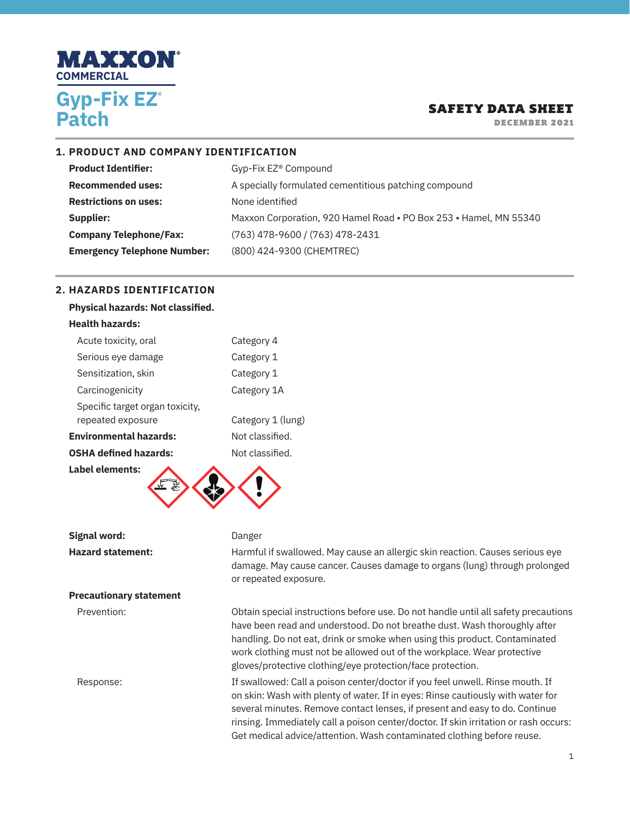

DECEMBER 2021

### **1. PRODUCT AND COMPANY IDENTIFICATION**

| <b>Product Identifier:</b>         | Gyp-Fix EZ <sup>®</sup> Compound                                  |
|------------------------------------|-------------------------------------------------------------------|
| <b>Recommended uses:</b>           | A specially formulated cementitious patching compound             |
| <b>Restrictions on uses:</b>       | None identified                                                   |
| Supplier:                          | Maxxon Corporation, 920 Hamel Road . PO Box 253 . Hamel, MN 55340 |
| <b>Company Telephone/Fax:</b>      | (763) 478-9600 / (763) 478-2431                                   |
| <b>Emergency Telephone Number:</b> | (800) 424-9300 (CHEMTREC)                                         |

### **2. HAZARDS IDENTIFICATION**

| <b>Physical hazards: Not classified.</b>             |                   |
|------------------------------------------------------|-------------------|
| <b>Health hazards:</b>                               |                   |
| Acute toxicity, oral                                 | Category 4        |
| Serious eye damage                                   | Category 1        |
| Sensitization, skin                                  | Category 1        |
| Carcinogenicity                                      | Category 1A       |
| Specific target organ toxicity,<br>repeated exposure | Category 1 (lung) |
| <b>Environmental hazards:</b>                        | Not classified.   |
| <b>OSHA defined hazards:</b>                         | Not classified.   |
| Label elements:                                      |                   |

**Signal word:** Danger

#### **Precautionary statement**

**Hazard statement:** Harmful if swallowed. May cause an allergic skin reaction. Causes serious eye damage. May cause cancer. Causes damage to organs (lung) through prolonged or repeated exposure.

Prevention: Obtain special instructions before use. Do not handle until all safety precautions have been read and understood. Do not breathe dust. Wash thoroughly after handling. Do not eat, drink or smoke when using this product. Contaminated work clothing must not be allowed out of the workplace. Wear protective gloves/protective clothing/eye protection/face protection.

Response: If swallowed: Call a poison center/doctor if you feel unwell. Rinse mouth. If on skin: Wash with plenty of water. If in eyes: Rinse cautiously with water for several minutes. Remove contact lenses, if present and easy to do. Continue rinsing. Immediately call a poison center/doctor. If skin irritation or rash occurs: Get medical advice/attention. Wash contaminated clothing before reuse.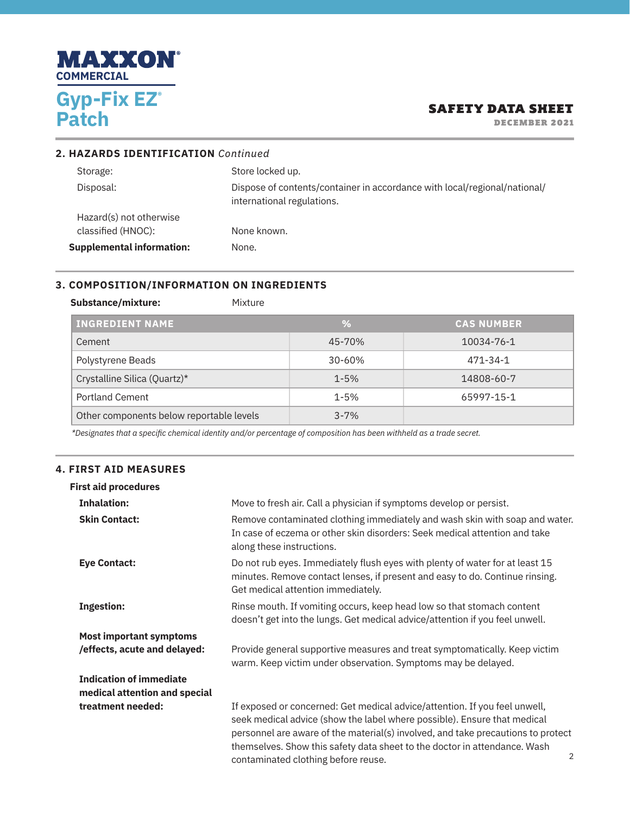

DECEMBER 2021

| 2. HAZARDS IDENTIFICATION Continued           |                                                                                                         |
|-----------------------------------------------|---------------------------------------------------------------------------------------------------------|
| Storage:                                      | Store locked up.                                                                                        |
| Disposal:                                     | Dispose of contents/container in accordance with local/regional/national/<br>international regulations. |
| Hazard(s) not otherwise<br>classified (HNOC): | None known.                                                                                             |
| <b>Supplemental information:</b>              | None.                                                                                                   |

# **3. COMPOSITION/INFORMATION ON INGREDIENTS**

Substance/mixture: Mixture

| <b>INGREDIENT NAME</b>                   | %          | <b>CAS NUMBER.</b> |
|------------------------------------------|------------|--------------------|
| Cement                                   | 45-70%     | 10034-76-1         |
| Polystyrene Beads                        | $30 - 60%$ | 471-34-1           |
| Crystalline Silica (Quartz)*             | $1 - 5%$   | 14808-60-7         |
| <b>Portland Cement</b>                   | $1 - 5%$   | 65997-15-1         |
| Other components below reportable levels | $3 - 7%$   |                    |

*\*Designates that a specific chemical identity and/or percentage of composition has been withheld as a trade secret.*

### **4. FIRST AID MEASURES**

| <b>First aid procedures</b>                                     |                                                                                                                                                                                                                                                                                                                                                                     |
|-----------------------------------------------------------------|---------------------------------------------------------------------------------------------------------------------------------------------------------------------------------------------------------------------------------------------------------------------------------------------------------------------------------------------------------------------|
| <b>Inhalation:</b>                                              | Move to fresh air. Call a physician if symptoms develop or persist.                                                                                                                                                                                                                                                                                                 |
| <b>Skin Contact:</b>                                            | Remove contaminated clothing immediately and wash skin with soap and water.<br>In case of eczema or other skin disorders: Seek medical attention and take<br>along these instructions.                                                                                                                                                                              |
| <b>Eye Contact:</b>                                             | Do not rub eyes. Immediately flush eyes with plenty of water for at least 15<br>minutes. Remove contact lenses, if present and easy to do. Continue rinsing.<br>Get medical attention immediately.                                                                                                                                                                  |
| <b>Ingestion:</b>                                               | Rinse mouth. If vomiting occurs, keep head low so that stomach content<br>doesn't get into the lungs. Get medical advice/attention if you feel unwell.                                                                                                                                                                                                              |
| <b>Most important symptoms</b>                                  |                                                                                                                                                                                                                                                                                                                                                                     |
| /effects, acute and delayed:                                    | Provide general supportive measures and treat symptomatically. Keep victim<br>warm. Keep victim under observation. Symptoms may be delayed.                                                                                                                                                                                                                         |
| <b>Indication of immediate</b><br>medical attention and special |                                                                                                                                                                                                                                                                                                                                                                     |
| treatment needed:                                               | If exposed or concerned: Get medical advice/attention. If you feel unwell,<br>seek medical advice (show the label where possible). Ensure that medical<br>personnel are aware of the material(s) involved, and take precautions to protect<br>themselves. Show this safety data sheet to the doctor in attendance. Wash<br>2<br>contaminated clothing before reuse. |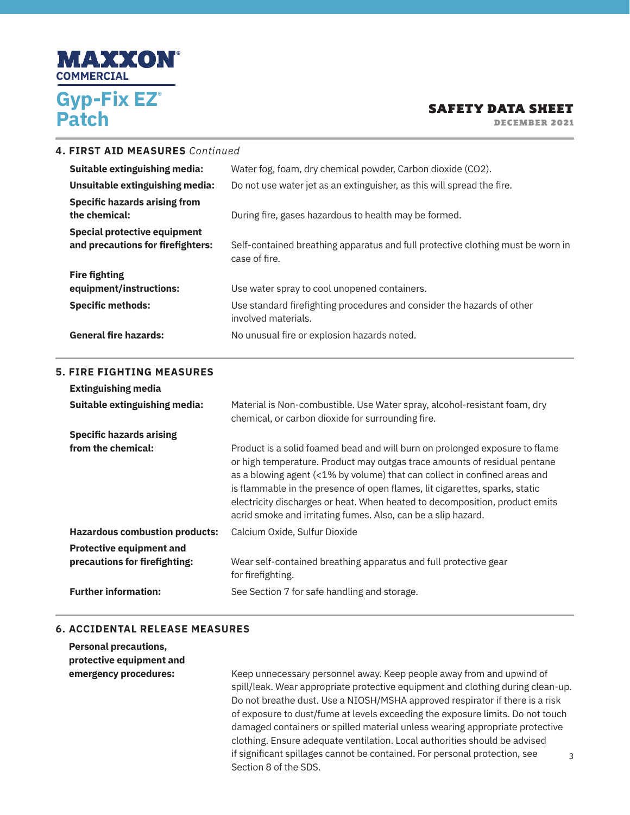

DECEMBER 2021

| 4. FIRST AID MEASURES Continued                                          |                                                                                                                                                                                                                                                                                                                                                                                                                                                                      |  |  |  |  |
|--------------------------------------------------------------------------|----------------------------------------------------------------------------------------------------------------------------------------------------------------------------------------------------------------------------------------------------------------------------------------------------------------------------------------------------------------------------------------------------------------------------------------------------------------------|--|--|--|--|
| Suitable extinguishing media:                                            | Water fog, foam, dry chemical powder, Carbon dioxide (CO2).                                                                                                                                                                                                                                                                                                                                                                                                          |  |  |  |  |
| Unsuitable extinguishing media:                                          | Do not use water jet as an extinguisher, as this will spread the fire.                                                                                                                                                                                                                                                                                                                                                                                               |  |  |  |  |
| <b>Specific hazards arising from</b><br>the chemical:                    | During fire, gases hazardous to health may be formed.                                                                                                                                                                                                                                                                                                                                                                                                                |  |  |  |  |
| <b>Special protective equipment</b><br>and precautions for firefighters: | Self-contained breathing apparatus and full protective clothing must be worn in<br>case of fire.                                                                                                                                                                                                                                                                                                                                                                     |  |  |  |  |
| <b>Fire fighting</b>                                                     |                                                                                                                                                                                                                                                                                                                                                                                                                                                                      |  |  |  |  |
| equipment/instructions:                                                  | Use water spray to cool unopened containers.                                                                                                                                                                                                                                                                                                                                                                                                                         |  |  |  |  |
| <b>Specific methods:</b>                                                 | Use standard firefighting procedures and consider the hazards of other<br>involved materials.                                                                                                                                                                                                                                                                                                                                                                        |  |  |  |  |
| <b>General fire hazards:</b>                                             | No unusual fire or explosion hazards noted.                                                                                                                                                                                                                                                                                                                                                                                                                          |  |  |  |  |
| <b>5. FIRE FIGHTING MEASURES</b>                                         |                                                                                                                                                                                                                                                                                                                                                                                                                                                                      |  |  |  |  |
| <b>Extinguishing media</b>                                               |                                                                                                                                                                                                                                                                                                                                                                                                                                                                      |  |  |  |  |
| Suitable extinguishing media:                                            | Material is Non-combustible. Use Water spray, alcohol-resistant foam, dry<br>chemical, or carbon dioxide for surrounding fire.                                                                                                                                                                                                                                                                                                                                       |  |  |  |  |
| <b>Specific hazards arising</b>                                          |                                                                                                                                                                                                                                                                                                                                                                                                                                                                      |  |  |  |  |
| from the chemical:                                                       | Product is a solid foamed bead and will burn on prolonged exposure to flame<br>or high temperature. Product may outgas trace amounts of residual pentane<br>as a blowing agent (<1% by volume) that can collect in confined areas and<br>is flammable in the presence of open flames, lit cigarettes, sparks, static<br>electricity discharges or heat. When heated to decomposition, product emits<br>acrid smoke and irritating fumes. Also, can be a slip hazard. |  |  |  |  |
| <b>Hazardous combustion products:</b>                                    | Calcium Oxide, Sulfur Dioxide                                                                                                                                                                                                                                                                                                                                                                                                                                        |  |  |  |  |
| <b>Protective equipment and</b><br>precautions for firefighting:         | Wear self-contained breathing apparatus and full protective gear<br>for firefighting.                                                                                                                                                                                                                                                                                                                                                                                |  |  |  |  |
|                                                                          |                                                                                                                                                                                                                                                                                                                                                                                                                                                                      |  |  |  |  |
| <b>Further information:</b>                                              | See Section 7 for safe handling and storage.                                                                                                                                                                                                                                                                                                                                                                                                                         |  |  |  |  |

### **6. ACCIDENTAL RELEASE MEASURES**

**Personal precautions, protective equipment and** 

3 **emergency procedures:** Keep unnecessary personnel away. Keep people away from and upwind of spill/leak. Wear appropriate protective equipment and clothing during clean-up. Do not breathe dust. Use a NIOSH/MSHA approved respirator if there is a risk of exposure to dust/fume at levels exceeding the exposure limits. Do not touch damaged containers or spilled material unless wearing appropriate protective clothing. Ensure adequate ventilation. Local authorities should be advised if significant spillages cannot be contained. For personal protection, see Section 8 of the SDS.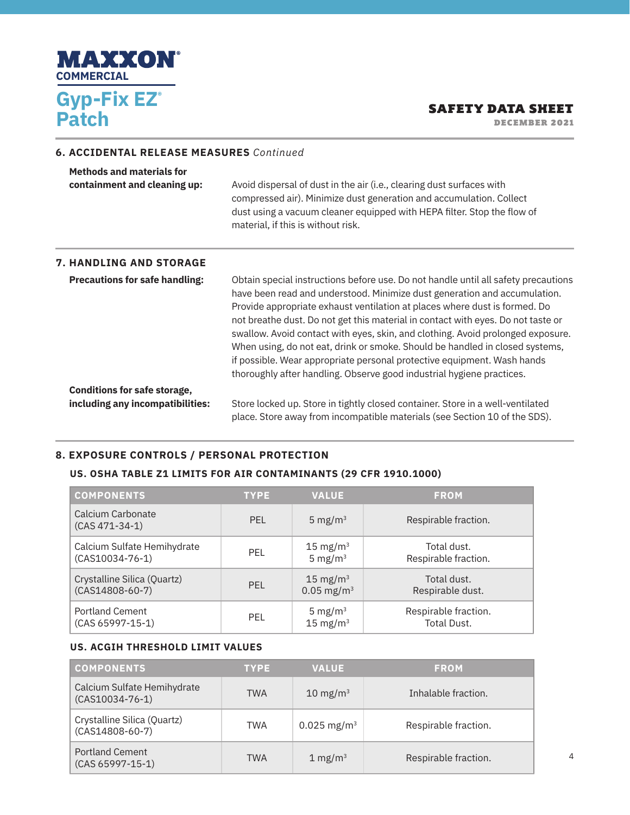

DECEMBER 2021

### **6. ACCIDENTAL RELEASE MEASURES** *Continued*

| <b>Methods and materials for</b><br>containment and cleaning up: | Avoid dispersal of dust in the air (i.e., clearing dust surfaces with<br>compressed air). Minimize dust generation and accumulation. Collect<br>dust using a vacuum cleaner equipped with HEPA filter. Stop the flow of<br>material, if this is without risk. |  |  |
|------------------------------------------------------------------|---------------------------------------------------------------------------------------------------------------------------------------------------------------------------------------------------------------------------------------------------------------|--|--|
| <b>7. HANDLING AND STORAGE</b>                                   |                                                                                                                                                                                                                                                               |  |  |
| <b>Precautions for safe handling:</b>                            | Obtain special instructions before use. Do not handle until all safety precautions<br>have been read and understood. Minimize dust generation and accumulation.<br>Provide appropriate exhaust ventilation at places where dust is formed. Do                 |  |  |

|                                     | Provide appropriate exhaust ventilation at places where dust is formed. Do                                                                                          |
|-------------------------------------|---------------------------------------------------------------------------------------------------------------------------------------------------------------------|
|                                     | not breathe dust. Do not get this material in contact with eyes. Do not taste or<br>swallow. Avoid contact with eyes, skin, and clothing. Avoid prolonged exposure. |
|                                     | When using, do not eat, drink or smoke. Should be handled in closed systems,                                                                                        |
|                                     | if possible. Wear appropriate personal protective equipment. Wash hands                                                                                             |
|                                     | thoroughly after handling. Observe good industrial hygiene practices.                                                                                               |
| <b>Conditions for safe storage,</b> |                                                                                                                                                                     |

**including any incompatibilities:** Store locked up. Store in tightly closed container. Store in a well-ventilated place. Store away from incompatible materials (see Section 10 of the SDS).

## **8. EXPOSURE CONTROLS / PERSONAL PROTECTION**

#### **US. OSHA TABLE Z1 LIMITS FOR AIR CONTAMINANTS (29 CFR 1910.1000)**

| <b>COMPONENTS</b>                     | <b>TYPE</b> | <b>VALUE</b>             | <b>FROM</b>          |
|---------------------------------------|-------------|--------------------------|----------------------|
| Calcium Carbonate<br>$(CAS 471-34-1)$ | <b>PEL</b>  | 5 mg/m <sup>3</sup>      | Respirable fraction. |
| Calcium Sulfate Hemihydrate           | <b>PEL</b>  | $15 \text{ mg/m}^3$      | Total dust.          |
| $(CAS10034-76-1)$                     |             | 5 mg/ $m3$               | Respirable fraction. |
| Crystalline Silica (Quartz)           | <b>PEL</b>  | 15 mg/m $3$              | Total dust.          |
| $(CAS14808-60-7)$                     |             | $0.05$ mg/m <sup>3</sup> | Respirable dust.     |
| <b>Portland Cement</b>                | <b>PEL</b>  | 5 mg/m <sup>3</sup>      | Respirable fraction. |
| $(CAS 65997 - 15 - 1)$                |             | $15 \text{ mg/m}^3$      | Total Dust.          |

### **US. ACGIH THRESHOLD LIMIT VALUES**

| <b>COMPONENTS</b>                                | <b>TYPE</b> | <b>VALUE</b>              | <b>FROM</b>          |
|--------------------------------------------------|-------------|---------------------------|----------------------|
| Calcium Sulfate Hemihydrate<br>$(CAS10034-76-1)$ | <b>TWA</b>  | 10 mg/m $3$               | Inhalable fraction.  |
| Crystalline Silica (Quartz)<br>$(CAS14808-60-7)$ | TWA         | $0.025$ mg/m <sup>3</sup> | Respirable fraction. |
| <b>Portland Cement</b><br>$(CAS 65997 - 15 - 1)$ | <b>TWA</b>  | 1 mg/m $3$                | Respirable fraction. |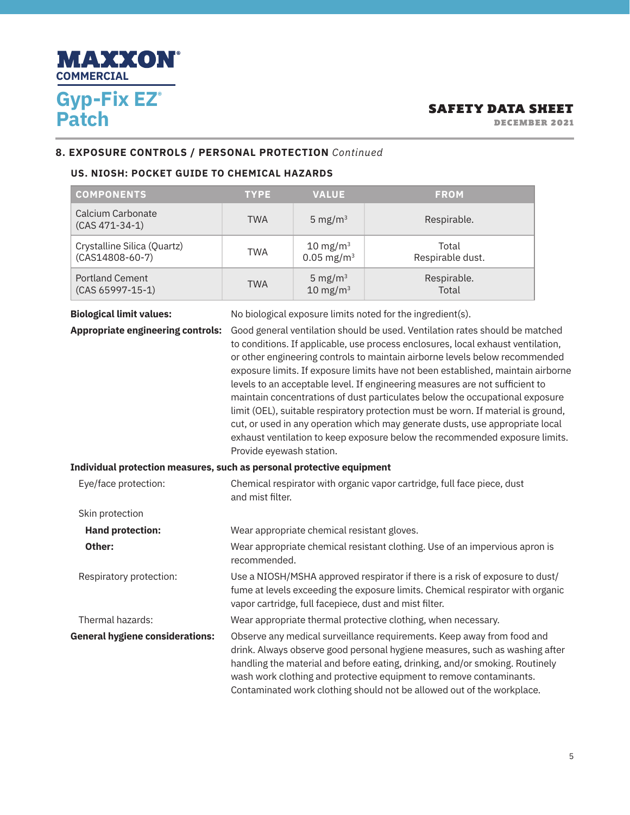

DECEMBER 2021

### **8. EXPOSURE CONTROLS / PERSONAL PROTECTION** *Continued*

### **US. NIOSH: POCKET GUIDE TO CHEMICAL HAZARDS**

| <b>COMPONENTS</b>                                                           | <b>TYPE</b>                                                                                                                                                                                                                                                                                                                                                                                                                                                                                                                                                                                                                                                                                                                                                                                                                                        | <b>VALUE</b>                                | <b>FROM</b>                                                                                                                                                                                                                           |  |
|-----------------------------------------------------------------------------|----------------------------------------------------------------------------------------------------------------------------------------------------------------------------------------------------------------------------------------------------------------------------------------------------------------------------------------------------------------------------------------------------------------------------------------------------------------------------------------------------------------------------------------------------------------------------------------------------------------------------------------------------------------------------------------------------------------------------------------------------------------------------------------------------------------------------------------------------|---------------------------------------------|---------------------------------------------------------------------------------------------------------------------------------------------------------------------------------------------------------------------------------------|--|
| Calcium Carbonate<br>$(CAS 471-34-1)$                                       | <b>TWA</b>                                                                                                                                                                                                                                                                                                                                                                                                                                                                                                                                                                                                                                                                                                                                                                                                                                         | 5 mg/ $m3$                                  | Respirable.                                                                                                                                                                                                                           |  |
| Crystalline Silica (Quartz)<br>$(CAS14808-60-7)$                            | <b>TWA</b>                                                                                                                                                                                                                                                                                                                                                                                                                                                                                                                                                                                                                                                                                                                                                                                                                                         | 10 mg/m $3$<br>$0.05$ mg/m <sup>3</sup>     | Total<br>Respirable dust.                                                                                                                                                                                                             |  |
| <b>Portland Cement</b><br>$(CAS 65997 - 15 - 1)$                            | <b>TWA</b>                                                                                                                                                                                                                                                                                                                                                                                                                                                                                                                                                                                                                                                                                                                                                                                                                                         | 5 mg/ $m3$<br>$10 \text{ mg/m}^3$           | Respirable.<br>Total                                                                                                                                                                                                                  |  |
| <b>Biological limit values:</b><br><b>Appropriate engineering controls:</b> | No biological exposure limits noted for the ingredient(s).<br>Good general ventilation should be used. Ventilation rates should be matched<br>to conditions. If applicable, use process enclosures, local exhaust ventilation,<br>or other engineering controls to maintain airborne levels below recommended<br>exposure limits. If exposure limits have not been established, maintain airborne<br>levels to an acceptable level. If engineering measures are not sufficient to<br>maintain concentrations of dust particulates below the occupational exposure<br>limit (OEL), suitable respiratory protection must be worn. If material is ground,<br>cut, or used in any operation which may generate dusts, use appropriate local<br>exhaust ventilation to keep exposure below the recommended exposure limits.<br>Provide eyewash station. |                                             |                                                                                                                                                                                                                                       |  |
| Individual protection measures, such as personal protective equipment       |                                                                                                                                                                                                                                                                                                                                                                                                                                                                                                                                                                                                                                                                                                                                                                                                                                                    |                                             |                                                                                                                                                                                                                                       |  |
| Eye/face protection:                                                        | and mist filter.                                                                                                                                                                                                                                                                                                                                                                                                                                                                                                                                                                                                                                                                                                                                                                                                                                   |                                             | Chemical respirator with organic vapor cartridge, full face piece, dust                                                                                                                                                               |  |
| Skin protection                                                             |                                                                                                                                                                                                                                                                                                                                                                                                                                                                                                                                                                                                                                                                                                                                                                                                                                                    |                                             |                                                                                                                                                                                                                                       |  |
| <b>Hand protection:</b>                                                     |                                                                                                                                                                                                                                                                                                                                                                                                                                                                                                                                                                                                                                                                                                                                                                                                                                                    | Wear appropriate chemical resistant gloves. |                                                                                                                                                                                                                                       |  |
| Other:                                                                      | Wear appropriate chemical resistant clothing. Use of an impervious apron is<br>recommended.                                                                                                                                                                                                                                                                                                                                                                                                                                                                                                                                                                                                                                                                                                                                                        |                                             |                                                                                                                                                                                                                                       |  |
| Respiratory protection:                                                     | Use a NIOSH/MSHA approved respirator if there is a risk of exposure to dust/<br>fume at levels exceeding the exposure limits. Chemical respirator with organic<br>vapor cartridge, full facepiece, dust and mist filter.                                                                                                                                                                                                                                                                                                                                                                                                                                                                                                                                                                                                                           |                                             |                                                                                                                                                                                                                                       |  |
| Thermal hazards:                                                            |                                                                                                                                                                                                                                                                                                                                                                                                                                                                                                                                                                                                                                                                                                                                                                                                                                                    |                                             | Wear appropriate thermal protective clothing, when necessary.                                                                                                                                                                         |  |
| <b>General hygiene considerations:</b>                                      |                                                                                                                                                                                                                                                                                                                                                                                                                                                                                                                                                                                                                                                                                                                                                                                                                                                    |                                             | Observe any medical surveillance requirements. Keep away from food and<br>drink. Always observe good personal hygiene measures, such as washing after<br>handling the material and before eating, drinking, and/or smoking. Routinely |  |

wash work clothing and protective equipment to remove contaminants. Contaminated work clothing should not be allowed out of the workplace.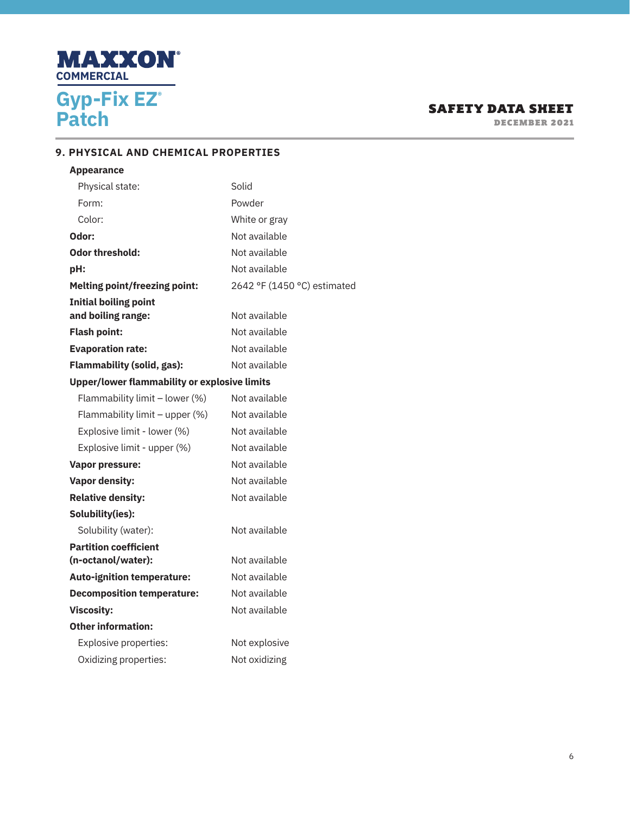

DECEMBER 2021

# **9. PHYSICAL AND CHEMICAL PROPERTIES**

| <b>Appearance</b>                                   |                             |
|-----------------------------------------------------|-----------------------------|
| Physical state:                                     | Solid                       |
| Form:                                               | Powder                      |
| Color:                                              | White or gray               |
| Odor:                                               | Not available               |
| <b>Odor threshold:</b>                              | Not available               |
| pH:                                                 | Not available               |
| <b>Melting point/freezing point:</b>                | 2642 °F (1450 °C) estimated |
| <b>Initial boiling point</b>                        |                             |
| and boiling range:                                  | Not available               |
| <b>Flash point:</b>                                 | Not available               |
| <b>Evaporation rate:</b>                            | Not available               |
| <b>Flammability (solid, gas):</b>                   | Not available               |
| <b>Upper/lower flammability or explosive limits</b> |                             |
| Flammability limit - lower (%)                      | Not available               |
| Flammability limit - upper (%)                      | Not available               |
| Explosive limit - lower (%)                         | Not available               |
| Explosive limit - upper (%)                         | Not available               |
| <b>Vapor pressure:</b>                              | Not available               |
| <b>Vapor density:</b>                               | Not available               |
| <b>Relative density:</b>                            | Not available               |
| Solubility(ies):                                    |                             |
| Solubility (water):                                 | Not available               |
| <b>Partition coefficient</b>                        |                             |
| (n-octanol/water):                                  | Not available               |
| <b>Auto-ignition temperature:</b>                   | Not available               |
| <b>Decomposition temperature:</b>                   | Not available               |
| <b>Viscosity:</b>                                   | Not available               |
| <b>Other information:</b>                           |                             |
| Explosive properties:                               | Not explosive               |
| Oxidizing properties:                               | Not oxidizing               |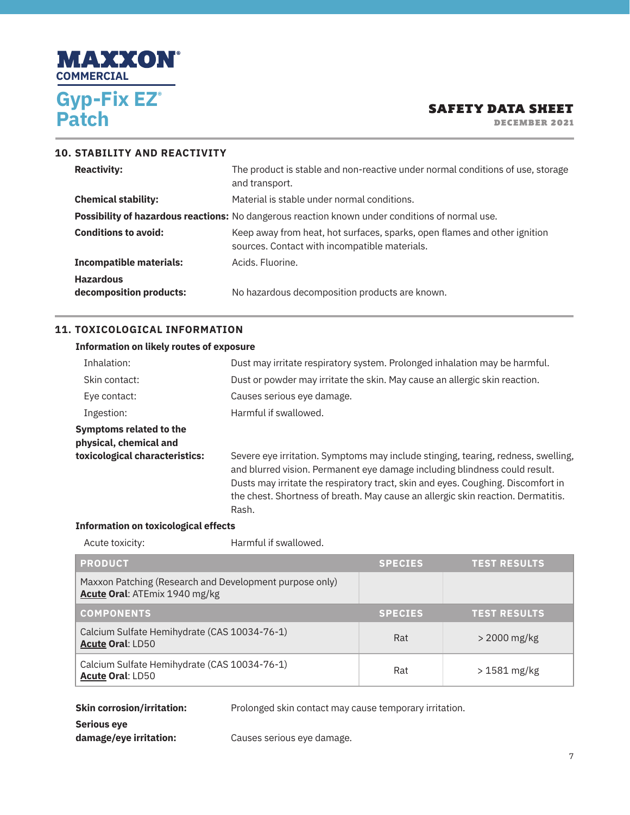

DECEMBER 2021

| <b>10. STABILITY AND REACTIVITY</b>         |                                                                                                                            |
|---------------------------------------------|----------------------------------------------------------------------------------------------------------------------------|
| <b>Reactivity:</b>                          | The product is stable and non-reactive under normal conditions of use, storage<br>and transport.                           |
| <b>Chemical stability:</b>                  | Material is stable under normal conditions.                                                                                |
|                                             | Possibility of hazardous reactions: No dangerous reaction known under conditions of normal use.                            |
| <b>Conditions to avoid:</b>                 | Keep away from heat, hot surfaces, sparks, open flames and other ignition<br>sources. Contact with incompatible materials. |
| <b>Incompatible materials:</b>              | Acids, Fluorine.                                                                                                           |
| <b>Hazardous</b><br>decomposition products: | No hazardous decomposition products are known.                                                                             |

### **11. TOXICOLOGICAL INFORMATION**

# **Information on likely routes of exposure** Inhalation: Dust may irritate respiratory system. Prolonged inhalation may be harmful. Skin contact: Dust or powder may irritate the skin. May cause an allergic skin reaction. Eye contact: Causes serious eye damage. Ingestion: Harmful if swallowed. **Symptoms related to the physical, chemical and toxicological characteristics:** Severe eye irritation. Symptoms may include stinging, tearing, redness, swelling, and blurred vision. Permanent eye damage including blindness could result. Dusts may irritate the respiratory tract, skin and eyes. Coughing. Discomfort in the chest. Shortness of breath. May cause an allergic skin reaction. Dermatitis. Rash.

#### **Information on toxicological effects**

Acute toxicity: **Harmful if swallowed.** 

| <b>PRODUCT</b>                                                                           | <b>SPECIES</b> | <b>TEST RESULTS</b> |
|------------------------------------------------------------------------------------------|----------------|---------------------|
| Maxxon Patching (Research and Development purpose only)<br>Acute Oral: ATEmix 1940 mg/kg |                |                     |
| <b>COMPONENTS</b>                                                                        | <b>SPECIES</b> | <b>TEST RESULTS</b> |
| Calcium Sulfate Hemihydrate (CAS 10034-76-1)<br>Acute Oral: LD50                         | Rat            | $>$ 2000 mg/kg      |
| Calcium Sulfate Hemihydrate (CAS 10034-76-1)<br>Acute Oral: LD50                         | Rat            | $>1581$ mg/kg       |

# **Skin corrosion/irritation:** Prolonged skin contact may cause temporary irritation. **Serious eye damage/eye irritation:** Causes serious eye damage.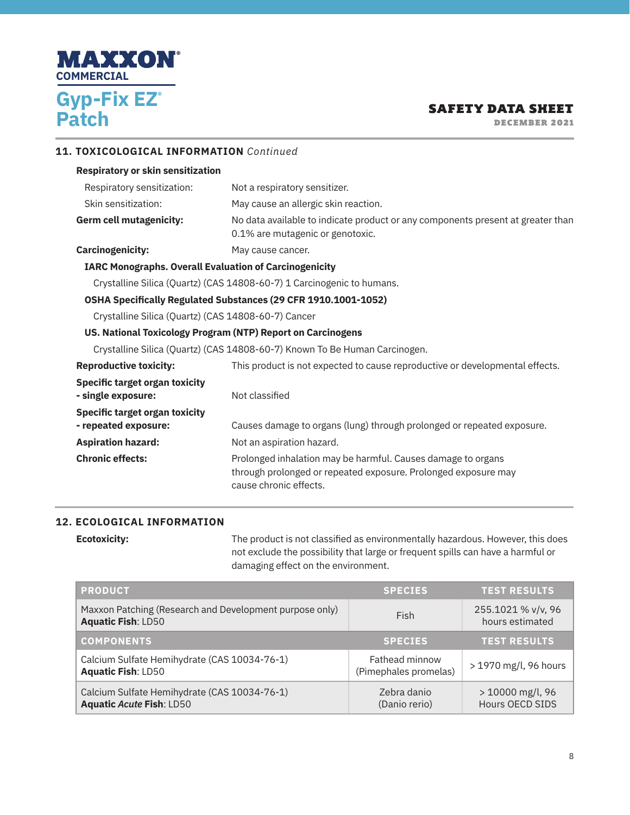

DECEMBER 2021

### **11. TOXICOLOGICAL INFORMATION** *Continued*

### **Respiratory or skin sensitization**

| Respiratory sensitization:                                                 | Not a respiratory sensitizer.                                                                                       |  |
|----------------------------------------------------------------------------|---------------------------------------------------------------------------------------------------------------------|--|
| Skin sensitization:                                                        | May cause an allergic skin reaction.                                                                                |  |
| Germ cell mutagenicity:                                                    | No data available to indicate product or any components present at greater than<br>0.1% are mutagenic or genotoxic. |  |
| <b>Carcinogenicity:</b>                                                    | May cause cancer.                                                                                                   |  |
| <b>IARC Monographs. Overall Evaluation of Carcinogenicity</b>              |                                                                                                                     |  |
| Crystalline Silica (Quartz) (CAS 14808-60-7) 1 Carcinogenic to humans.     |                                                                                                                     |  |
| OSHA Specifically Regulated Substances (29 CFR 1910.1001-1052)             |                                                                                                                     |  |
| Crystalline Silica (Quartz) (CAS 14808-60-7) Cancer                        |                                                                                                                     |  |
| US. National Toxicology Program (NTP) Report on Carcinogens                |                                                                                                                     |  |
| Crystalline Silica (Quartz) (CAS 14808-60-7) Known To Be Human Carcinogen. |                                                                                                                     |  |
| <b>Reproductive toxicity:</b>                                              | This product is not expected to cause reproductive or developmental effects.                                        |  |
| Specific target organ toxicity<br>- single exposure:                       | Not classified                                                                                                      |  |
| Specific target organ toxicity<br>- repeated exposure:                     | Causes damage to organs (lung) through prolonged or repeated exposure.                                              |  |

# **Aspiration hazard:** Not an aspiration hazard. **Chronic effects:** Prolonged inhalation may be harmful. Causes damage to organs through prolonged or repeated exposure. Prolonged exposure may cause chronic effects.

### **12. ECOLOGICAL INFORMATION**

**Ecotoxicity:** The product is not classified as environmentally hazardous. However, this does not exclude the possibility that large or frequent spills can have a harmful or damaging effect on the environment.

| <b>PRODUCT</b>                                                                       | <b>SPECIES</b>                                 | <b>TEST RESULTS</b>                   |
|--------------------------------------------------------------------------------------|------------------------------------------------|---------------------------------------|
| Maxxon Patching (Research and Development purpose only)<br><b>Aquatic Fish: LD50</b> | Fish                                           | 255.1021 % v/v, 96<br>hours estimated |
| <b>COMPONENTS</b>                                                                    | <b>SPECIES</b>                                 | <b>TEST RESULTS</b>                   |
| Calcium Sulfate Hemihydrate (CAS 10034-76-1)<br><b>Aquatic Fish: LD50</b>            | <b>Fathead minnow</b><br>(Pimephales promelas) | > 1970 mg/l, 96 hours                 |
| Calcium Sulfate Hemihydrate (CAS 10034-76-1)<br><b>Aquatic Acute Fish: LD50</b>      | Zebra danio<br>(Danio rerio)                   | > 10000 mg/l, 96<br>Hours OECD SIDS   |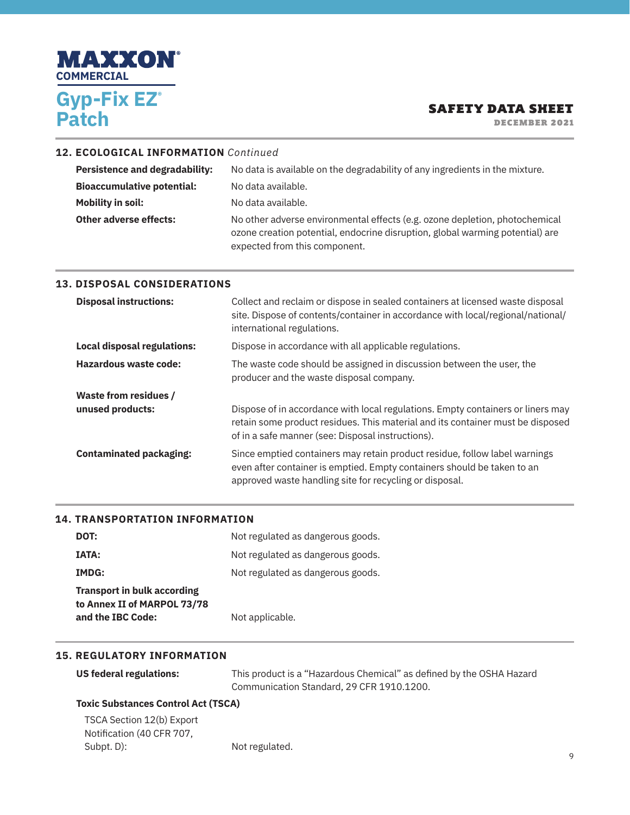

DECEMBER 2021

### **12. ECOLOGICAL INFORMATION** *Continued*

| <b>Persistence and degradability:</b> | No data is available on the degradability of any ingredients in the mixture.                                                                                                                  |
|---------------------------------------|-----------------------------------------------------------------------------------------------------------------------------------------------------------------------------------------------|
| <b>Bioaccumulative potential:</b>     | No data available.                                                                                                                                                                            |
| Mobility in soil:                     | No data available.                                                                                                                                                                            |
| Other adverse effects:                | No other adverse environmental effects (e.g. ozone depletion, photochemical<br>ozone creation potential, endocrine disruption, global warming potential) are<br>expected from this component. |

### **13. DISPOSAL CONSIDERATIONS**

| <b>Disposal instructions:</b>      | Collect and reclaim or dispose in sealed containers at licensed waste disposal<br>site. Dispose of contents/container in accordance with local/regional/national/<br>international regulations.                        |
|------------------------------------|------------------------------------------------------------------------------------------------------------------------------------------------------------------------------------------------------------------------|
| <b>Local disposal regulations:</b> | Dispose in accordance with all applicable regulations.                                                                                                                                                                 |
| Hazardous waste code:              | The waste code should be assigned in discussion between the user, the<br>producer and the waste disposal company.                                                                                                      |
| <b>Waste from residues /</b>       |                                                                                                                                                                                                                        |
| unused products:                   | Dispose of in accordance with local regulations. Empty containers or liners may<br>retain some product residues. This material and its container must be disposed<br>of in a safe manner (see: Disposal instructions). |
| <b>Contaminated packaging:</b>     | Since emptied containers may retain product residue, follow label warnings<br>even after container is emptied. Empty containers should be taken to an<br>approved waste handling site for recycling or disposal.       |

### **14. TRANSPORTATION INFORMATION**

| DOT:                               | Not regulated as dangerous goods. |
|------------------------------------|-----------------------------------|
| <b>IATA:</b>                       | Not regulated as dangerous goods. |
| IMDG:                              | Not regulated as dangerous goods. |
| <b>Transport in bulk according</b> |                                   |
| to Annex II of MARPOL 73/78        |                                   |
| and the IBC Code:                  | Not applicable.                   |

#### **15. REGULATORY INFORMATION**

| US federal regulations: | This product is a "Hazardous Chemical" as defined by the OSHA Hazard |
|-------------------------|----------------------------------------------------------------------|
|                         | Communication Standard, 29 CFR 1910.1200.                            |

# **Toxic Substances Control Act (TSCA)**

| TSCA Section 12(b) Export |                |
|---------------------------|----------------|
| Notification (40 CFR 707, |                |
| Subpt. D):                | Not regulated. |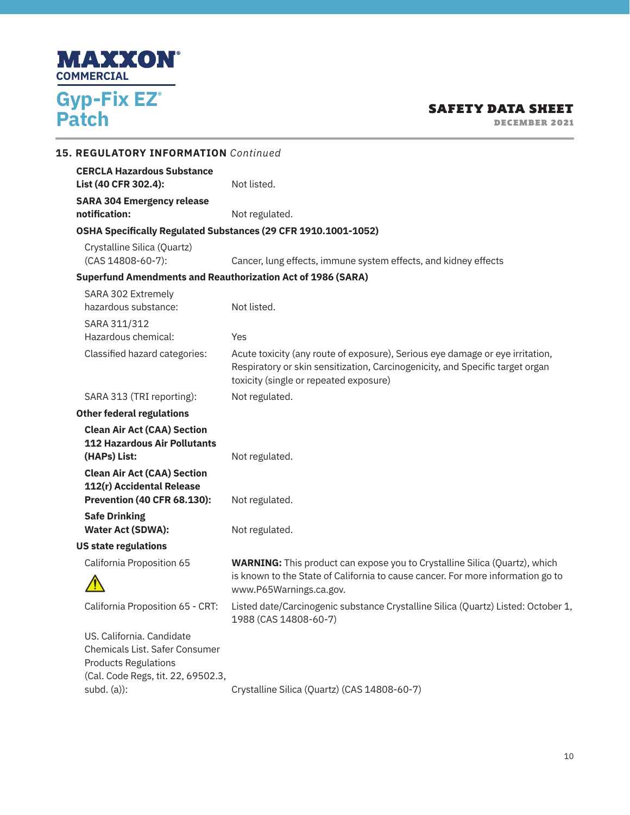

DECEMBER 2021

| <b>15. REGULATORY INFORMATION</b> Continued                                                                                                       |                                                                                                                                                                                                          |
|---------------------------------------------------------------------------------------------------------------------------------------------------|----------------------------------------------------------------------------------------------------------------------------------------------------------------------------------------------------------|
| <b>CERCLA Hazardous Substance</b><br>List (40 CFR 302.4):                                                                                         | Not listed.                                                                                                                                                                                              |
| <b>SARA 304 Emergency release</b>                                                                                                                 |                                                                                                                                                                                                          |
| notification:                                                                                                                                     | Not regulated.                                                                                                                                                                                           |
| OSHA Specifically Regulated Substances (29 CFR 1910.1001-1052)                                                                                    |                                                                                                                                                                                                          |
| Crystalline Silica (Quartz)<br>(CAS 14808-60-7):                                                                                                  | Cancer, lung effects, immune system effects, and kidney effects                                                                                                                                          |
| <b>Superfund Amendments and Reauthorization Act of 1986 (SARA)</b>                                                                                |                                                                                                                                                                                                          |
| SARA 302 Extremely<br>hazardous substance:                                                                                                        | Not listed.                                                                                                                                                                                              |
| SARA 311/312<br>Hazardous chemical:                                                                                                               | Yes                                                                                                                                                                                                      |
| Classified hazard categories:                                                                                                                     | Acute toxicity (any route of exposure), Serious eye damage or eye irritation,<br>Respiratory or skin sensitization, Carcinogenicity, and Specific target organ<br>toxicity (single or repeated exposure) |
| SARA 313 (TRI reporting):                                                                                                                         | Not regulated.                                                                                                                                                                                           |
| <b>Other federal regulations</b>                                                                                                                  |                                                                                                                                                                                                          |
| <b>Clean Air Act (CAA) Section</b><br><b>112 Hazardous Air Pollutants</b><br>(HAPs) List:                                                         | Not regulated.                                                                                                                                                                                           |
| <b>Clean Air Act (CAA) Section</b><br>112(r) Accidental Release<br><b>Prevention (40 CFR 68.130):</b>                                             | Not regulated.                                                                                                                                                                                           |
| <b>Safe Drinking</b>                                                                                                                              |                                                                                                                                                                                                          |
| <b>Water Act (SDWA):</b>                                                                                                                          | Not regulated.                                                                                                                                                                                           |
| <b>US state regulations</b>                                                                                                                       |                                                                                                                                                                                                          |
| California Proposition 65                                                                                                                         | <b>WARNING:</b> This product can expose you to Crystalline Silica (Quartz), which<br>is known to the State of California to cause cancer. For more information go to<br>www.P65Warnings.ca.gov.          |
|                                                                                                                                                   | California Proposition 65 - CRT: Listed date/Carcinogenic substance Crystalline Silica (Quartz) Listed: October 1,<br>1988 (CAS 14808-60-7)                                                              |
| US. California. Candidate<br>Chemicals List. Safer Consumer<br><b>Products Regulations</b><br>(Cal. Code Regs, tit. 22, 69502.3,<br>$subd.$ (a)): | Crystalline Silica (Quartz) (CAS 14808-60-7)                                                                                                                                                             |
|                                                                                                                                                   |                                                                                                                                                                                                          |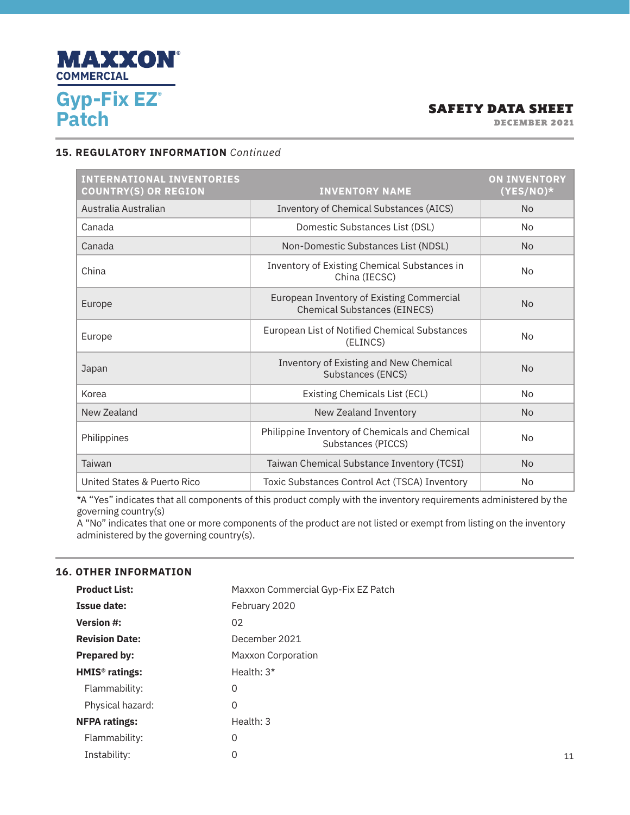

DECEMBER 2021

### **15. REGULATORY INFORMATION** *Continued*

| <b>INTERNATIONAL INVENTORIES</b><br><b>COUNTRY(S) OR REGION</b> | <b>INVENTORY NAME</b>                                                            | <b>ON INVENTORY</b><br>$(YES/NO)^*$ |
|-----------------------------------------------------------------|----------------------------------------------------------------------------------|-------------------------------------|
| Australia Australian                                            | Inventory of Chemical Substances (AICS)                                          | <b>No</b>                           |
| Canada                                                          | Domestic Substances List (DSL)                                                   | N <sub>o</sub>                      |
| Canada                                                          | Non-Domestic Substances List (NDSL)                                              | <b>No</b>                           |
| China                                                           | Inventory of Existing Chemical Substances in<br>China (IECSC)                    | <b>No</b>                           |
| Europe                                                          | European Inventory of Existing Commercial<br><b>Chemical Substances (EINECS)</b> | <b>No</b>                           |
| Europe                                                          | European List of Notified Chemical Substances<br>(ELINCS)                        | <b>No</b>                           |
| Japan                                                           | Inventory of Existing and New Chemical<br>Substances (ENCS)                      | <b>No</b>                           |
| Korea                                                           | <b>Existing Chemicals List (ECL)</b>                                             | <b>No</b>                           |
| New Zealand                                                     | New Zealand Inventory                                                            | <b>No</b>                           |
| Philippines                                                     | Philippine Inventory of Chemicals and Chemical<br>Substances (PICCS)             | <b>No</b>                           |
| Taiwan                                                          | Taiwan Chemical Substance Inventory (TCSI)                                       | <b>No</b>                           |
| United States & Puerto Rico                                     | Toxic Substances Control Act (TSCA) Inventory                                    | <b>No</b>                           |

\*A "Yes" indicates that all components of this product comply with the inventory requirements administered by the governing country(s)

A "No" indicates that one or more components of the product are not listed or exempt from listing on the inventory administered by the governing country(s).

### **16. OTHER INFORMATION**

| <b>Product List:</b>       | Maxxon Commercial Gyp-Fix EZ Patch |
|----------------------------|------------------------------------|
| <b>Issue date:</b>         | February 2020                      |
| <b>Version #:</b>          | 02                                 |
| <b>Revision Date:</b>      | December 2021                      |
| <b>Prepared by:</b>        | <b>Maxxon Corporation</b>          |
| HMIS <sup>®</sup> ratings: | Health: $3*$                       |
| Flammability:              | 0                                  |
| Physical hazard:           | 0                                  |
| <b>NFPA ratings:</b>       | Health: 3                          |
| Flammability:              | 0                                  |
| Instability:               | 0                                  |